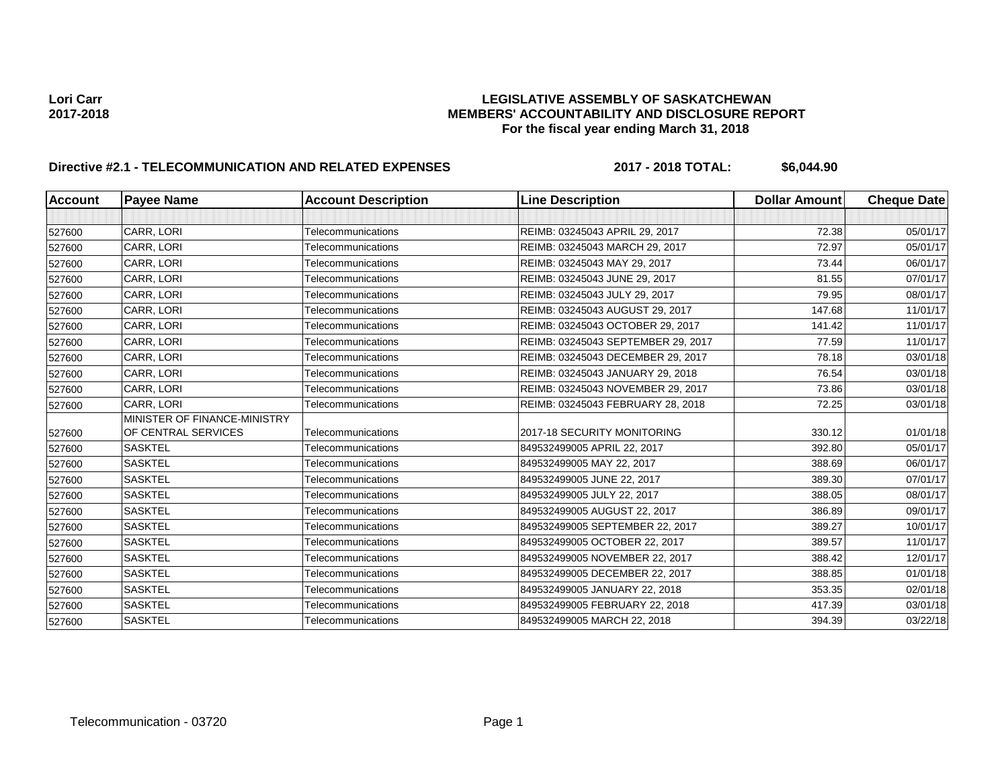## **Lori Carr LEGISLATIVE ASSEMBLY OF SASKATCHEWAN 2017-2018 MEMBERS' ACCOUNTABILITY AND DISCLOSURE REPORT For the fiscal year ending March 31, 2018**

# **Directive #2.1 - TELECOMMUNICATION AND RELATED EXPENSES** 2017 - 2018 TOTAL: \$6,044.90

| <b>Account</b> | <b>Payee Name</b>            | <b>Account Description</b> | <b>Line Description</b>            | <b>Dollar Amount</b> | <b>Cheque Date</b> |
|----------------|------------------------------|----------------------------|------------------------------------|----------------------|--------------------|
|                |                              |                            |                                    |                      |                    |
| 527600         | CARR, LORI                   | Telecommunications         | REIMB: 03245043 APRIL 29, 2017     | 72.38                | 05/01/17           |
| 527600         | CARR, LORI                   | Telecommunications         | REIMB: 03245043 MARCH 29, 2017     | 72.97                | 05/01/17           |
| 527600         | CARR, LORI                   | Telecommunications         | REIMB: 03245043 MAY 29, 2017       | 73.44                | 06/01/17           |
| 527600         | CARR, LORI                   | Telecommunications         | REIMB: 03245043 JUNE 29, 2017      | 81.55                | 07/01/17           |
| 527600         | CARR, LORI                   | Telecommunications         | REIMB: 03245043 JULY 29, 2017      | 79.95                | 08/01/17           |
| 527600         | CARR, LORI                   | Telecommunications         | REIMB: 03245043 AUGUST 29, 2017    | 147.68               | 11/01/17           |
| 527600         | CARR, LORI                   | Telecommunications         | REIMB: 03245043 OCTOBER 29, 2017   | 141.42               | 11/01/17           |
| 527600         | CARR, LORI                   | Telecommunications         | REIMB: 03245043 SEPTEMBER 29, 2017 | 77.59                | 11/01/17           |
| 527600         | CARR, LORI                   | Telecommunications         | REIMB: 03245043 DECEMBER 29, 2017  | 78.18                | 03/01/18           |
| 527600         | CARR, LORI                   | Telecommunications         | REIMB: 03245043 JANUARY 29, 2018   | 76.54                | 03/01/18           |
| 527600         | CARR, LORI                   | Telecommunications         | REIMB: 03245043 NOVEMBER 29, 2017  | 73.86                | 03/01/18           |
| 527600         | <b>CARR. LORI</b>            | Telecommunications         | REIMB: 03245043 FEBRUARY 28, 2018  | 72.25                | 03/01/18           |
|                | MINISTER OF FINANCE-MINISTRY |                            |                                    |                      |                    |
| 527600         | OF CENTRAL SERVICES          | Telecommunications         | 2017-18 SECURITY MONITORING        | 330.12               | 01/01/18           |
| 527600         | <b>SASKTEL</b>               | Telecommunications         | 849532499005 APRIL 22, 2017        | 392.80               | 05/01/17           |
| 527600         | <b>SASKTEL</b>               | Telecommunications         | 849532499005 MAY 22, 2017          | 388.69               | 06/01/17           |
| 527600         | <b>SASKTEL</b>               | Telecommunications         | 849532499005 JUNE 22, 2017         | 389.30               | 07/01/17           |
| 527600         | <b>SASKTEL</b>               | Telecommunications         | 849532499005 JULY 22, 2017         | 388.05               | 08/01/17           |
| 527600         | <b>SASKTEL</b>               | Telecommunications         | 849532499005 AUGUST 22, 2017       | 386.89               | 09/01/17           |
| 527600         | <b>SASKTEL</b>               | Telecommunications         | 849532499005 SEPTEMBER 22, 2017    | 389.27               | 10/01/17           |
| 527600         | <b>SASKTEL</b>               | Telecommunications         | 849532499005 OCTOBER 22, 2017      | 389.57               | 11/01/17           |
| 527600         | <b>SASKTEL</b>               | Telecommunications         | 849532499005 NOVEMBER 22, 2017     | 388.42               | 12/01/17           |
| 527600         | <b>SASKTEL</b>               | Telecommunications         | 849532499005 DECEMBER 22, 2017     | 388.85               | 01/01/18           |
| 527600         | <b>SASKTEL</b>               | Telecommunications         | 849532499005 JANUARY 22, 2018      | 353.35               | 02/01/18           |
| 527600         | <b>SASKTEL</b>               | Telecommunications         | 849532499005 FEBRUARY 22, 2018     | 417.39               | 03/01/18           |
| 527600         | <b>SASKTEL</b>               | Telecommunications         | 849532499005 MARCH 22, 2018        | 394.39               | 03/22/18           |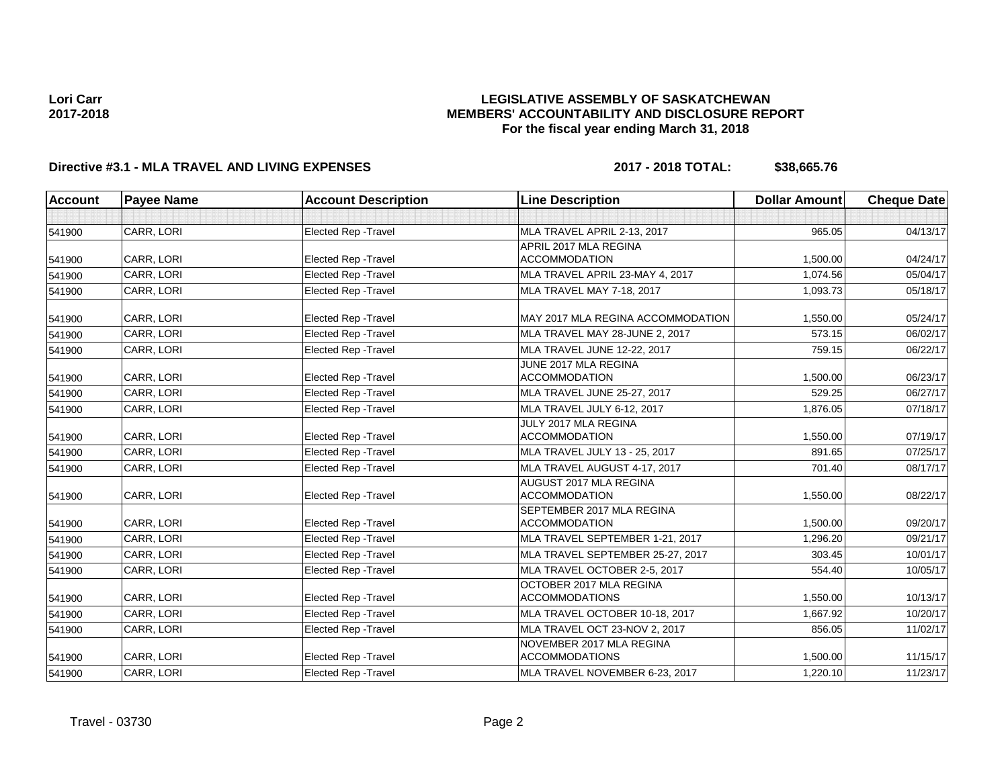## **LEGISLATIVE ASSEMBLY OF SASKATCHEWAN MEMBERS' ACCOUNTABILITY AND DISCLOSURE REPORT For the fiscal year ending March 31, 2018**

# **Directive #3.1 - MLA TRAVEL AND LIVING EXPENSES 2017 - 2018 TOTAL: \$38,665.76**

| <b>Account</b> | <b>Payee Name</b> | <b>Account Description</b>  | <b>Line Description</b>                            | <b>Dollar Amount</b> | <b>Cheque Date</b> |
|----------------|-------------------|-----------------------------|----------------------------------------------------|----------------------|--------------------|
|                |                   |                             |                                                    |                      |                    |
| 541900         | CARR, LORI        | Elected Rep - Travel        | MLA TRAVEL APRIL 2-13, 2017                        | 965.05               | 04/13/17           |
|                |                   |                             | APRIL 2017 MLA REGINA                              |                      |                    |
| 541900         | CARR, LORI        | <b>Elected Rep - Travel</b> | <b>ACCOMMODATION</b>                               | 1,500.00             | 04/24/17           |
| 541900         | CARR. LORI        | Elected Rep - Travel        | MLA TRAVEL APRIL 23-MAY 4, 2017                    | 1.074.56             | 05/04/17           |
| 541900         | CARR, LORI        | <b>Elected Rep - Travel</b> | MLA TRAVEL MAY 7-18, 2017                          | 1,093.73             | 05/18/17           |
| 541900         | CARR, LORI        | Elected Rep - Travel        | MAY 2017 MLA REGINA ACCOMMODATION                  | 1,550.00             | 05/24/17           |
| 541900         | CARR, LORI        | <b>Elected Rep - Travel</b> | MLA TRAVEL MAY 28-JUNE 2, 2017                     | 573.15               | 06/02/17           |
| 541900         | CARR, LORI        | Elected Rep - Travel        | MLA TRAVEL JUNE 12-22, 2017                        | 759.15               | 06/22/17           |
|                | CARR, LORI        | <b>Elected Rep - Travel</b> | JUNE 2017 MLA REGINA<br><b>ACCOMMODATION</b>       | 1,500.00             | 06/23/17           |
| 541900         | CARR. LORI        | Elected Rep - Travel        | MLA TRAVEL JUNE 25-27, 2017                        | 529.25               | 06/27/17           |
| 541900         |                   |                             |                                                    |                      | 07/18/17           |
| 541900         | CARR, LORI        | Elected Rep - Travel        | MLA TRAVEL JULY 6-12, 2017<br>JULY 2017 MLA REGINA | 1,876.05             |                    |
| 541900         | CARR, LORI        | Elected Rep - Travel        | <b>ACCOMMODATION</b>                               | 1,550.00             | 07/19/17           |
| 541900         | CARR, LORI        | <b>Elected Rep - Travel</b> | MLA TRAVEL JULY 13 - 25, 2017                      | 891.65               | 07/25/17           |
| 541900         | CARR, LORI        | <b>Elected Rep - Travel</b> | MLA TRAVEL AUGUST 4-17, 2017                       | 701.40               | 08/17/17           |
| 541900         | CARR, LORI        | <b>Elected Rep - Travel</b> | AUGUST 2017 MLA REGINA<br><b>ACCOMMODATION</b>     | 1,550.00             | 08/22/17           |
|                |                   |                             | SEPTEMBER 2017 MLA REGINA                          |                      |                    |
| 541900         | CARR, LORI        | Elected Rep - Travel        | <b>ACCOMMODATION</b>                               | 1,500.00             | 09/20/17           |
| 541900         | CARR, LORI        | Elected Rep - Travel        | MLA TRAVEL SEPTEMBER 1-21, 2017                    | 1.296.20             | 09/21/17           |
| 541900         | CARR, LORI        | Elected Rep - Travel        | MLA TRAVEL SEPTEMBER 25-27, 2017                   | 303.45               | 10/01/17           |
| 541900         | CARR. LORI        | <b>Elected Rep - Travel</b> | MLA TRAVEL OCTOBER 2-5, 2017                       | 554.40               | 10/05/17           |
| 541900         | CARR, LORI        | Elected Rep - Travel        | OCTOBER 2017 MLA REGINA<br><b>ACCOMMODATIONS</b>   | 1.550.00             | 10/13/17           |
| 541900         | CARR, LORI        | Elected Rep - Travel        | MLA TRAVEL OCTOBER 10-18, 2017                     | 1,667.92             | 10/20/17           |
| 541900         | CARR, LORI        | Elected Rep - Travel        | MLA TRAVEL OCT 23-NOV 2, 2017                      | 856.05               | 11/02/17           |
| 541900         | CARR, LORI        | Elected Rep - Travel        | NOVEMBER 2017 MLA REGINA<br><b>ACCOMMODATIONS</b>  | 1,500.00             | 11/15/17           |
| 541900         | CARR, LORI        | Elected Rep - Travel        | MLA TRAVEL NOVEMBER 6-23, 2017                     | 1,220.10             | 11/23/17           |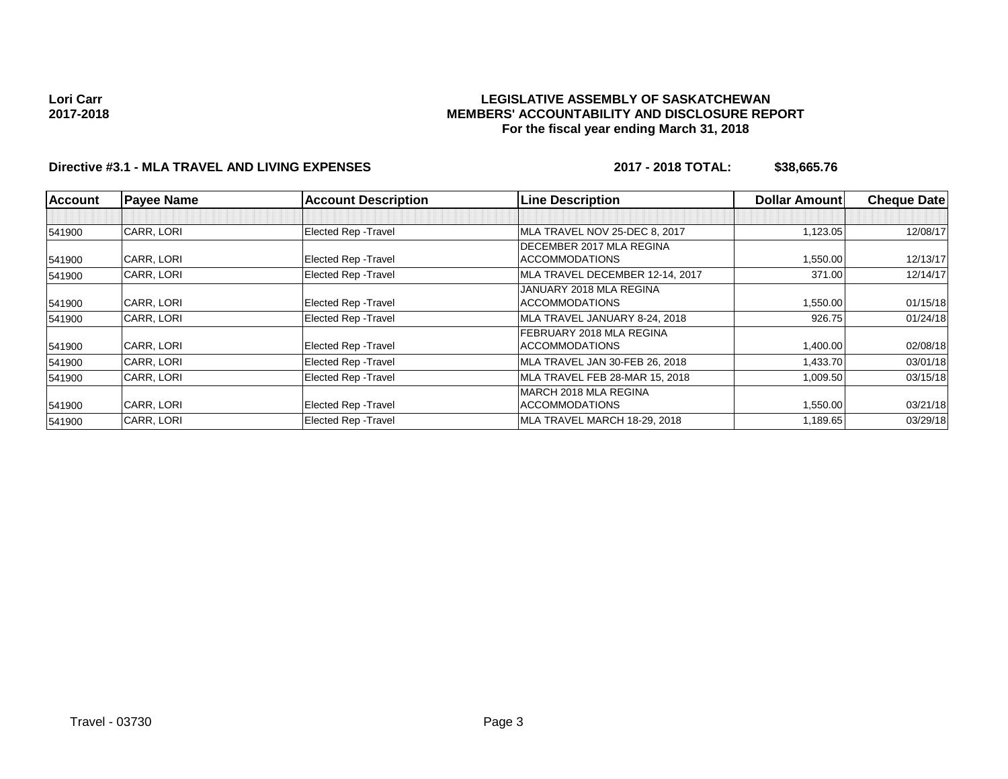## **LEGISLATIVE ASSEMBLY OF SASKATCHEWAN MEMBERS' ACCOUNTABILITY AND DISCLOSURE REPORT For the fiscal year ending March 31, 2018**

# **Directive #3.1 - MLA TRAVEL AND LIVING EXPENSES 2017 - 2018 TOTAL: \$38,665.76**

| <b>Account</b> | <b>Payee Name</b> | <b>Account Description</b>  | <b>Line Description</b>          | <b>Dollar Amount</b> | <b>Cheque Date</b> |
|----------------|-------------------|-----------------------------|----------------------------------|----------------------|--------------------|
|                |                   |                             |                                  |                      |                    |
| 541900         | CARR, LORI        | <b>Elected Rep - Travel</b> | MLA TRAVEL NOV 25-DEC 8, 2017    | 1,123.05             | 12/08/17           |
|                |                   |                             | <b>IDECEMBER 2017 MLA REGINA</b> |                      |                    |
| 541900         | CARR, LORI        | <b>Elected Rep - Travel</b> | <b>ACCOMMODATIONS</b>            | 1,550.00             | 12/13/17           |
| 541900         | <b>CARR. LORI</b> | <b>Elected Rep - Travel</b> | MLA TRAVEL DECEMBER 12-14, 2017  | 371.00               | 12/14/17           |
|                |                   |                             | JANUARY 2018 MLA REGINA          |                      |                    |
| 541900         | CARR, LORI        | <b>Elected Rep - Travel</b> | <b>ACCOMMODATIONS</b>            | 1,550.00             | 01/15/18           |
| 541900         | CARR, LORI        | <b>Elected Rep - Travel</b> | MLA TRAVEL JANUARY 8-24, 2018    | 926.75               | 01/24/18           |
|                |                   |                             | FEBRUARY 2018 MLA REGINA         |                      |                    |
| 541900         | CARR, LORI        | <b>Elected Rep - Travel</b> | <b>ACCOMMODATIONS</b>            | 1,400.00             | 02/08/18           |
| 541900         | CARR, LORI        | <b>Elected Rep - Travel</b> | MLA TRAVEL JAN 30-FEB 26, 2018   | 1,433.70             | 03/01/18           |
| 541900         | CARR, LORI        | <b>Elected Rep - Travel</b> | MLA TRAVEL FEB 28-MAR 15, 2018   | 1,009.50             | 03/15/18           |
|                |                   |                             | IMARCH 2018 MLA REGINA           |                      |                    |
| 541900         | CARR, LORI        | <b>Elected Rep - Travel</b> | <b>ACCOMMODATIONS</b>            | 1,550.00             | 03/21/18           |
| 541900         | CARR, LORI        | <b>Elected Rep - Travel</b> | MLA TRAVEL MARCH 18-29, 2018     | 1,189.65             | 03/29/18           |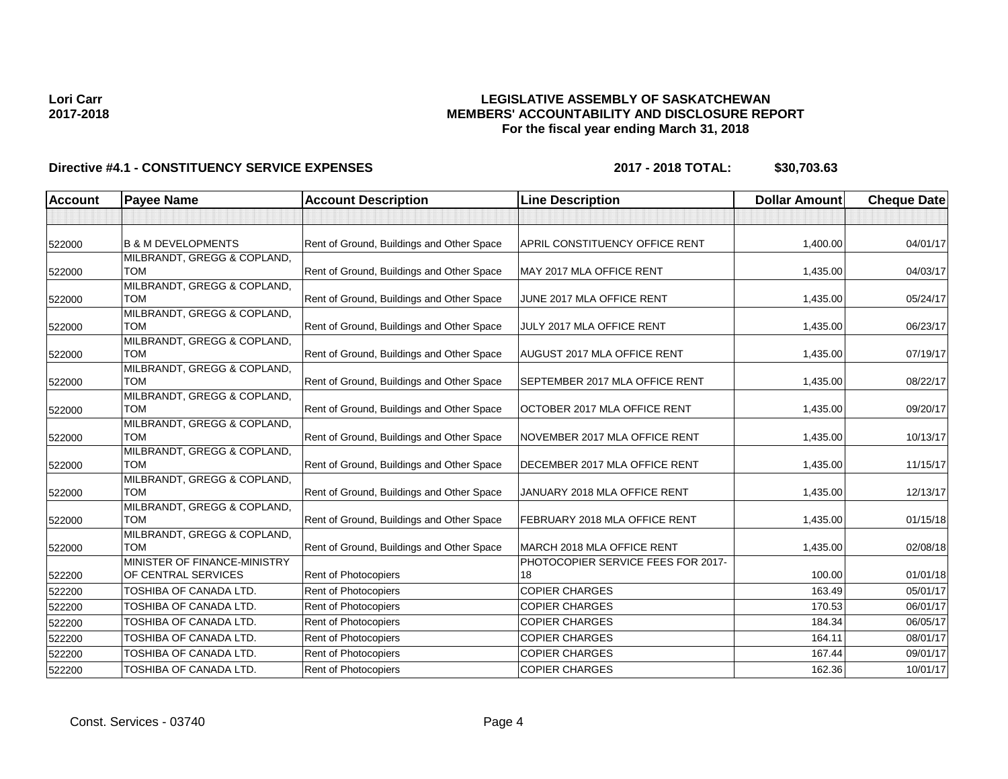## **LEGISLATIVE ASSEMBLY OF SASKATCHEWAN MEMBERS' ACCOUNTABILITY AND DISCLOSURE REPORT For the fiscal year ending March 31, 2018**

| <b>Account</b> | <b>Payee Name</b>                                   | <b>Account Description</b>                | <b>Line Description</b>                  | <b>Dollar Amount</b> | <b>Cheque Date</b> |
|----------------|-----------------------------------------------------|-------------------------------------------|------------------------------------------|----------------------|--------------------|
|                |                                                     |                                           |                                          |                      |                    |
| 522000         | <b>B &amp; M DEVELOPMENTS</b>                       | Rent of Ground, Buildings and Other Space | <b>APRIL CONSTITUENCY OFFICE RENT</b>    | 1,400.00             | 04/01/17           |
| 522000         | MILBRANDT, GREGG & COPLAND,<br><b>TOM</b>           | Rent of Ground, Buildings and Other Space | MAY 2017 MLA OFFICE RENT                 | 1,435.00             | 04/03/17           |
|                | MILBRANDT, GREGG & COPLAND,<br><b>TOM</b>           | Rent of Ground, Buildings and Other Space | JUNE 2017 MLA OFFICE RENT                | 1,435.00             | 05/24/17           |
| 522000         | MILBRANDT, GREGG & COPLAND,                         |                                           |                                          |                      |                    |
| 522000         | <b>TOM</b><br>MILBRANDT, GREGG & COPLAND,           | Rent of Ground, Buildings and Other Space | JULY 2017 MLA OFFICE RENT                | 1,435.00             | 06/23/17           |
| 522000         | <b>TOM</b>                                          | Rent of Ground, Buildings and Other Space | <b>AUGUST 2017 MLA OFFICE RENT</b>       | 1,435.00             | 07/19/17           |
| 522000         | MILBRANDT, GREGG & COPLAND,<br><b>TOM</b>           | Rent of Ground, Buildings and Other Space | SEPTEMBER 2017 MLA OFFICE RENT           | 1,435.00             | 08/22/17           |
| 522000         | MILBRANDT, GREGG & COPLAND,<br><b>TOM</b>           | Rent of Ground, Buildings and Other Space | OCTOBER 2017 MLA OFFICE RENT             | 1,435.00             | 09/20/17           |
| 522000         | MILBRANDT, GREGG & COPLAND,<br><b>TOM</b>           | Rent of Ground, Buildings and Other Space | NOVEMBER 2017 MLA OFFICE RENT            | 1,435.00             | 10/13/17           |
| 522000         | MILBRANDT, GREGG & COPLAND,<br><b>TOM</b>           | Rent of Ground, Buildings and Other Space | DECEMBER 2017 MLA OFFICE RENT            | 1,435.00             | 11/15/17           |
| 522000         | MILBRANDT, GREGG & COPLAND,<br><b>TOM</b>           | Rent of Ground, Buildings and Other Space | JANUARY 2018 MLA OFFICE RENT             | 1,435.00             | 12/13/17           |
| 522000         | MILBRANDT, GREGG & COPLAND,<br><b>TOM</b>           | Rent of Ground, Buildings and Other Space | FEBRUARY 2018 MLA OFFICE RENT            | 1,435.00             | 01/15/18           |
| 522000         | MILBRANDT, GREGG & COPLAND,<br><b>TOM</b>           | Rent of Ground, Buildings and Other Space | MARCH 2018 MLA OFFICE RENT               | 1,435.00             | 02/08/18           |
| 522200         | MINISTER OF FINANCE-MINISTRY<br>OF CENTRAL SERVICES | Rent of Photocopiers                      | PHOTOCOPIER SERVICE FEES FOR 2017-<br>18 | 100.00               | 01/01/18           |
| 522200         | TOSHIBA OF CANADA LTD.                              | Rent of Photocopiers                      | <b>COPIER CHARGES</b>                    | 163.49               | 05/01/17           |
| 522200         | TOSHIBA OF CANADA LTD.                              | Rent of Photocopiers                      | <b>COPIER CHARGES</b>                    | 170.53               | 06/01/17           |
| 522200         | TOSHIBA OF CANADA LTD.                              | Rent of Photocopiers                      | <b>COPIER CHARGES</b>                    | 184.34               | 06/05/17           |
| 522200         | TOSHIBA OF CANADA LTD.                              | Rent of Photocopiers                      | <b>COPIER CHARGES</b>                    | 164.11               | 08/01/17           |
| 522200         | TOSHIBA OF CANADA LTD.                              | Rent of Photocopiers                      | <b>COPIER CHARGES</b>                    | 167.44               | 09/01/17           |
| 522200         | TOSHIBA OF CANADA LTD.                              | Rent of Photocopiers                      | <b>COPIER CHARGES</b>                    | 162.36               | 10/01/17           |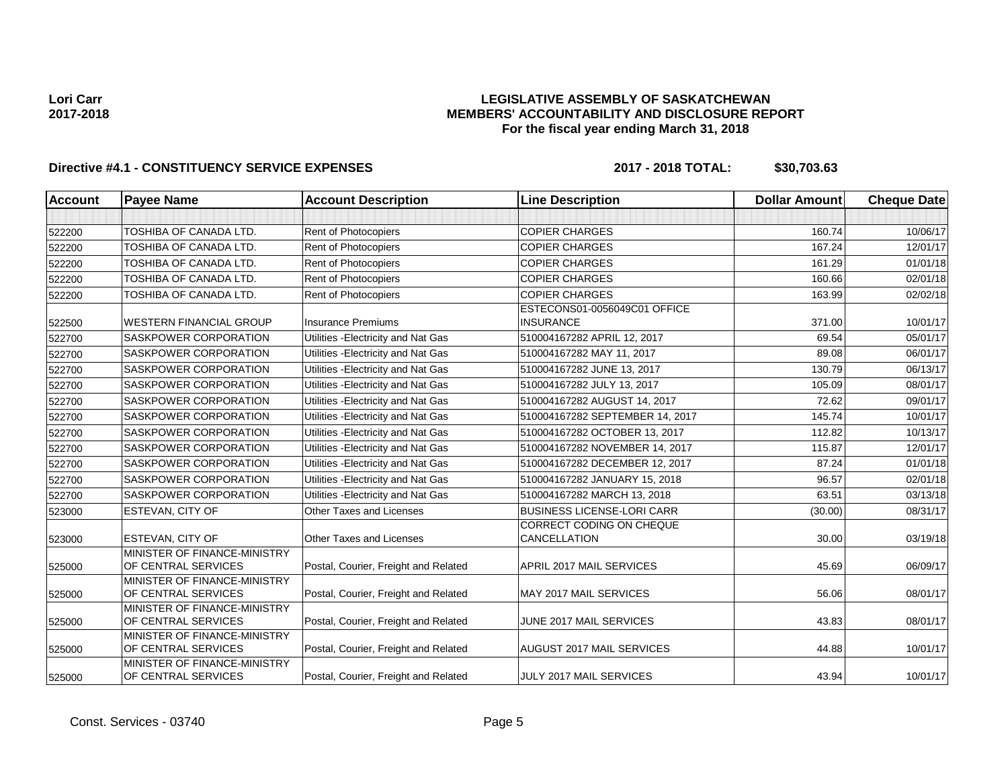## **LEGISLATIVE ASSEMBLY OF SASKATCHEWAN MEMBERS' ACCOUNTABILITY AND DISCLOSURE REPORT For the fiscal year ending March 31, 2018**

| <b>Account</b> | <b>Payee Name</b>                                   | <b>Account Description</b>           | <b>Line Description</b>                          | <b>Dollar Amount</b> | <b>Cheque Date</b> |
|----------------|-----------------------------------------------------|--------------------------------------|--------------------------------------------------|----------------------|--------------------|
|                |                                                     |                                      |                                                  |                      |                    |
| 522200         | <b>TOSHIBA OF CANADA LTD.</b>                       | Rent of Photocopiers                 | <b>COPIER CHARGES</b>                            | 160.74               | 10/06/17           |
| 522200         | TOSHIBA OF CANADA LTD.                              | Rent of Photocopiers                 | <b>COPIER CHARGES</b>                            | 167.24               | 12/01/17           |
| 522200         | TOSHIBA OF CANADA LTD.                              | <b>Rent of Photocopiers</b>          | <b>COPIER CHARGES</b>                            | 161.29               | 01/01/18           |
| 522200         | TOSHIBA OF CANADA LTD.                              | Rent of Photocopiers                 | <b>COPIER CHARGES</b>                            | 160.66               | 02/01/18           |
| 522200         | TOSHIBA OF CANADA LTD.                              | Rent of Photocopiers                 | <b>COPIER CHARGES</b>                            | 163.99               | 02/02/18           |
| 522500         | <b>WESTERN FINANCIAL GROUP</b>                      | <b>Insurance Premiums</b>            | ESTECONS01-0056049C01 OFFICE<br><b>INSURANCE</b> | 371.00               | 10/01/17           |
| 522700         | SASKPOWER CORPORATION                               | Utilities - Electricity and Nat Gas  | 510004167282 APRIL 12, 2017                      | 69.54                | 05/01/17           |
| 522700         | SASKPOWER CORPORATION                               | Utilities - Electricity and Nat Gas  | 510004167282 MAY 11, 2017                        | 89.08                | 06/01/17           |
| 522700         | SASKPOWER CORPORATION                               | Utilities - Electricity and Nat Gas  | 510004167282 JUNE 13, 2017                       | 130.79               | 06/13/17           |
| 522700         | <b>SASKPOWER CORPORATION</b>                        | Utilities - Electricity and Nat Gas  | 510004167282 JULY 13, 2017                       | 105.09               | 08/01/17           |
| 522700         | SASKPOWER CORPORATION                               | Utilities - Electricity and Nat Gas  | 510004167282 AUGUST 14, 2017                     | 72.62                | 09/01/17           |
| 522700         | SASKPOWER CORPORATION                               | Utilities - Electricity and Nat Gas  | 510004167282 SEPTEMBER 14, 2017                  | 145.74               | 10/01/17           |
| 522700         | SASKPOWER CORPORATION                               | Utilities - Electricity and Nat Gas  | 510004167282 OCTOBER 13, 2017                    | 112.82               | 10/13/17           |
| 522700         | SASKPOWER CORPORATION                               | Utilities - Electricity and Nat Gas  | 510004167282 NOVEMBER 14, 2017                   | 115.87               | 12/01/17           |
| 522700         | SASKPOWER CORPORATION                               | Utilities - Electricity and Nat Gas  | 510004167282 DECEMBER 12, 2017                   | 87.24                | 01/01/18           |
| 522700         | <b>SASKPOWER CORPORATION</b>                        | Utilities - Electricity and Nat Gas  | 510004167282 JANUARY 15, 2018                    | 96.57                | 02/01/18           |
| 522700         | SASKPOWER CORPORATION                               | Utilities - Electricity and Nat Gas  | 510004167282 MARCH 13, 2018                      | 63.51                | 03/13/18           |
| 523000         | ESTEVAN, CITY OF                                    | Other Taxes and Licenses             | <b>BUSINESS LICENSE-LORI CARR</b>                | (30.00)              | 08/31/17           |
| 523000         | ESTEVAN, CITY OF                                    | Other Taxes and Licenses             | CORRECT CODING ON CHEQUE<br>CANCELLATION         | 30.00                | 03/19/18           |
| 525000         | MINISTER OF FINANCE-MINISTRY<br>OF CENTRAL SERVICES | Postal, Courier, Freight and Related | APRIL 2017 MAIL SERVICES                         | 45.69                | 06/09/17           |
| 525000         | MINISTER OF FINANCE-MINISTRY<br>OF CENTRAL SERVICES | Postal, Courier, Freight and Related | <b>MAY 2017 MAIL SERVICES</b>                    | 56.06                | 08/01/17           |
|                | MINISTER OF FINANCE-MINISTRY                        |                                      |                                                  |                      |                    |
| 525000         | OF CENTRAL SERVICES                                 | Postal, Courier, Freight and Related | JUNE 2017 MAIL SERVICES                          | 43.83                | 08/01/17           |
| 525000         | MINISTER OF FINANCE-MINISTRY<br>OF CENTRAL SERVICES | Postal, Courier, Freight and Related | <b>AUGUST 2017 MAIL SERVICES</b>                 | 44.88                | 10/01/17           |
| 525000         | MINISTER OF FINANCE-MINISTRY<br>OF CENTRAL SERVICES | Postal, Courier, Freight and Related | JULY 2017 MAIL SERVICES                          | 43.94                | 10/01/17           |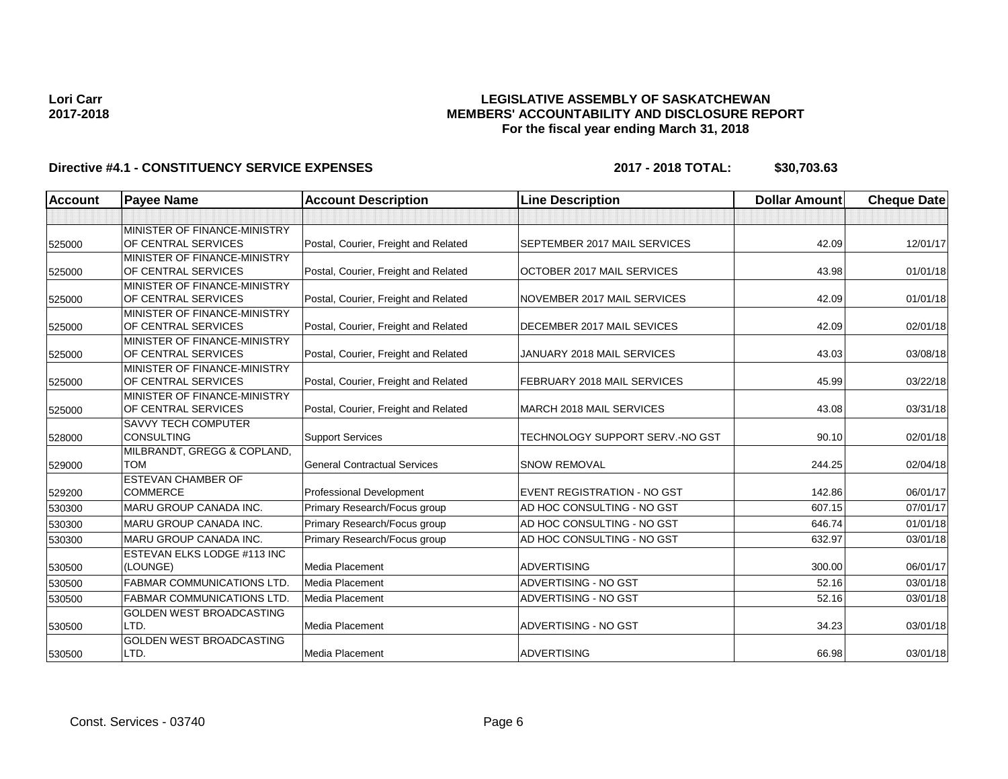## **LEGISLATIVE ASSEMBLY OF SASKATCHEWAN MEMBERS' ACCOUNTABILITY AND DISCLOSURE REPORT For the fiscal year ending March 31, 2018**

| <b>Account</b> | <b>Payee Name</b>                                   | <b>Account Description</b>           | <b>Line Description</b>            | <b>Dollar Amount</b> | <b>Cheque Date</b> |
|----------------|-----------------------------------------------------|--------------------------------------|------------------------------------|----------------------|--------------------|
|                |                                                     |                                      |                                    |                      |                    |
|                | MINISTER OF FINANCE-MINISTRY                        |                                      |                                    |                      |                    |
| 525000         | OF CENTRAL SERVICES                                 | Postal, Courier, Freight and Related | SEPTEMBER 2017 MAIL SERVICES       | 42.09                | 12/01/17           |
|                | MINISTER OF FINANCE-MINISTRY                        |                                      |                                    |                      |                    |
| 525000         | OF CENTRAL SERVICES                                 | Postal, Courier, Freight and Related | OCTOBER 2017 MAIL SERVICES         | 43.98                | 01/01/18           |
|                | MINISTER OF FINANCE-MINISTRY                        |                                      |                                    |                      |                    |
| 525000         | OF CENTRAL SERVICES                                 | Postal, Courier, Freight and Related | NOVEMBER 2017 MAIL SERVICES        | 42.09                | 01/01/18           |
|                | MINISTER OF FINANCE-MINISTRY                        |                                      |                                    |                      |                    |
| 525000         | OF CENTRAL SERVICES                                 | Postal, Courier, Freight and Related | DECEMBER 2017 MAIL SEVICES         | 42.09                | 02/01/18           |
|                | MINISTER OF FINANCE-MINISTRY                        |                                      |                                    |                      |                    |
| 525000         | OF CENTRAL SERVICES                                 | Postal, Courier, Freight and Related | JANUARY 2018 MAIL SERVICES         | 43.03                | 03/08/18           |
|                | MINISTER OF FINANCE-MINISTRY                        |                                      |                                    |                      |                    |
| 525000         | OF CENTRAL SERVICES                                 | Postal, Courier, Freight and Related | FEBRUARY 2018 MAIL SERVICES        | 45.99                | 03/22/18           |
|                | MINISTER OF FINANCE-MINISTRY<br>OF CENTRAL SERVICES | Postal, Courier, Freight and Related | MARCH 2018 MAIL SERVICES           | 43.08                | 03/31/18           |
| 525000         |                                                     |                                      |                                    |                      |                    |
| 528000         | <b>SAVVY TECH COMPUTER</b><br><b>CONSULTING</b>     | <b>Support Services</b>              | TECHNOLOGY SUPPORT SERV.-NO GST    | 90.10                | 02/01/18           |
|                | MILBRANDT, GREGG & COPLAND,                         |                                      |                                    |                      |                    |
| 529000         | <b>TOM</b>                                          | <b>General Contractual Services</b>  | <b>SNOW REMOVAL</b>                | 244.25               | 02/04/18           |
|                | <b>ESTEVAN CHAMBER OF</b>                           |                                      |                                    |                      |                    |
| 529200         | <b>COMMERCE</b>                                     | <b>Professional Development</b>      | <b>EVENT REGISTRATION - NO GST</b> | 142.86               | 06/01/17           |
| 530300         | <b>MARU GROUP CANADA INC.</b>                       | Primary Research/Focus group         | AD HOC CONSULTING - NO GST         | 607.15               | 07/01/17           |
| 530300         | <b>IMARU GROUP CANADA INC.</b>                      | Primary Research/Focus group         | AD HOC CONSULTING - NO GST         | 646.74               | 01/01/18           |
| 530300         | <b>MARU GROUP CANADA INC.</b>                       | Primary Research/Focus group         | AD HOC CONSULTING - NO GST         | 632.97               | 03/01/18           |
|                | <b>ESTEVAN ELKS LODGE #113 INC</b>                  |                                      |                                    |                      |                    |
| 530500         | (LOUNGE)                                            | Media Placement                      | <b>ADVERTISING</b>                 | 300.00               | 06/01/17           |
| 530500         | <b>FABMAR COMMUNICATIONS LTD</b>                    | Media Placement                      | ADVERTISING - NO GST               | 52.16                | 03/01/18           |
| 530500         | <b>FABMAR COMMUNICATIONS LTD.</b>                   | Media Placement                      | ADVERTISING - NO GST               | 52.16                | 03/01/18           |
|                | <b>GOLDEN WEST BROADCASTING</b>                     |                                      |                                    |                      |                    |
| 530500         | LTD.                                                | Media Placement                      | ADVERTISING - NO GST               | 34.23                | 03/01/18           |
|                | <b>GOLDEN WEST BROADCASTING</b>                     |                                      |                                    |                      |                    |
| 530500         | LTD.                                                | Media Placement                      | <b>ADVERTISING</b>                 | 66.98                | 03/01/18           |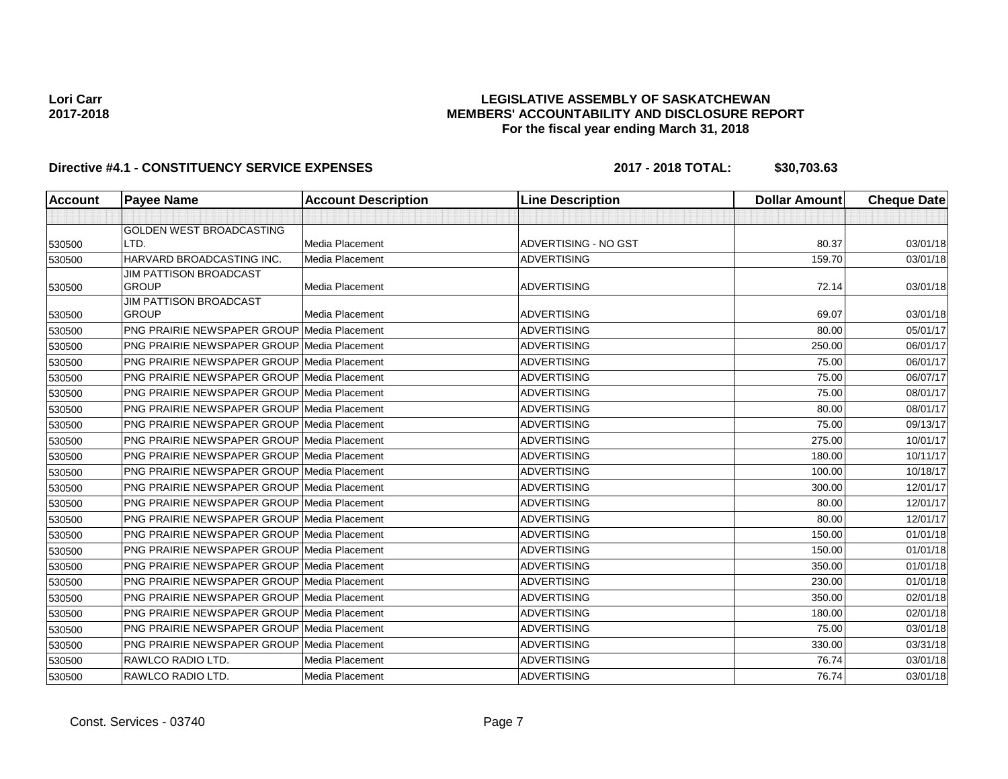## **LEGISLATIVE ASSEMBLY OF SASKATCHEWAN MEMBERS' ACCOUNTABILITY AND DISCLOSURE REPORT For the fiscal year ending March 31, 2018**

| <b>Account</b> | <b>Payee Name</b>                                  | <b>Account Description</b> | <b>Line Description</b> | <b>Dollar Amount</b> | <b>Cheque Date</b> |
|----------------|----------------------------------------------------|----------------------------|-------------------------|----------------------|--------------------|
|                |                                                    |                            |                         |                      |                    |
|                | GOLDEN WEST BROADCASTING                           |                            |                         |                      |                    |
| 530500         | LTD.                                               | Media Placement            | ADVERTISING - NO GST    | 80.37                | 03/01/18           |
| 530500         | HARVARD BROADCASTING INC.                          | <b>Media Placement</b>     | <b>ADVERTISING</b>      | 159.70               | 03/01/18           |
|                | <b>JIM PATTISON BROADCAST</b>                      |                            |                         |                      |                    |
| 530500         | <b>GROUP</b><br><b>JIM PATTISON BROADCAST</b>      | Media Placement            | <b>ADVERTISING</b>      | 72.14                | 03/01/18           |
| 530500         | <b>GROUP</b>                                       | Media Placement            | <b>ADVERTISING</b>      | 69.07                | 03/01/18           |
| 530500         | <b>PNG PRAIRIE NEWSPAPER GROUP Media Placement</b> |                            | <b>ADVERTISING</b>      | 80.00                | 05/01/17           |
| 530500         | <b>PNG PRAIRIE NEWSPAPER GROUP Media Placement</b> |                            | <b>ADVERTISING</b>      | 250.00               | 06/01/17           |
| 530500         | <b>PNG PRAIRIE NEWSPAPER GROUP Media Placement</b> |                            | <b>ADVERTISING</b>      | 75.00                | 06/01/17           |
| 530500         | <b>PNG PRAIRIE NEWSPAPER GROUP Media Placement</b> |                            | ADVERTISING             | 75.00                | 06/07/17           |
| 530500         | <b>PNG PRAIRIE NEWSPAPER GROUP Media Placement</b> |                            | <b>ADVERTISING</b>      | 75.00                | 08/01/17           |
| 530500         | <b>PNG PRAIRIE NEWSPAPER GROUP Media Placement</b> |                            | <b>ADVERTISING</b>      | 80.00                | 08/01/17           |
| 530500         | PNG PRAIRIE NEWSPAPER GROUP Media Placement        |                            | <b>ADVERTISING</b>      | 75.00                | 09/13/17           |
| 530500         | PNG PRAIRIE NEWSPAPER GROUP   Media Placement      |                            | <b>ADVERTISING</b>      | 275.00               | 10/01/17           |
| 530500         | <b>PNG PRAIRIE NEWSPAPER GROUP Media Placement</b> |                            | <b>ADVERTISING</b>      | 180.00               | 10/11/17           |
| 530500         | <b>PNG PRAIRIE NEWSPAPER GROUP Media Placement</b> |                            | <b>ADVERTISING</b>      | 100.00               | 10/18/17           |
| 530500         | <b>PNG PRAIRIE NEWSPAPER GROUP Media Placement</b> |                            | <b>ADVERTISING</b>      | 300.00               | 12/01/17           |
| 530500         | PNG PRAIRIE NEWSPAPER GROUP Media Placement        |                            | <b>ADVERTISING</b>      | 80.00                | 12/01/17           |
| 530500         | <b>PNG PRAIRIE NEWSPAPER GROUP Media Placement</b> |                            | <b>ADVERTISING</b>      | 80.00                | 12/01/17           |
| 530500         | <b>PNG PRAIRIE NEWSPAPER GROUP Media Placement</b> |                            | <b>ADVERTISING</b>      | 150.00               | 01/01/18           |
| 530500         | <b>PNG PRAIRIE NEWSPAPER GROUP Media Placement</b> |                            | <b>ADVERTISING</b>      | 150.00               | 01/01/18           |
| 530500         | <b>PNG PRAIRIE NEWSPAPER GROUP Media Placement</b> |                            | <b>ADVERTISING</b>      | 350.00               | 01/01/18           |
| 530500         | <b>PNG PRAIRIE NEWSPAPER GROUP Media Placement</b> |                            | <b>ADVERTISING</b>      | 230.00               | 01/01/18           |
| 530500         | <b>PNG PRAIRIE NEWSPAPER GROUP Media Placement</b> |                            | <b>ADVERTISING</b>      | 350.00               | 02/01/18           |
| 530500         | <b>PNG PRAIRIE NEWSPAPER GROUP Media Placement</b> |                            | <b>ADVERTISING</b>      | 180.00               | 02/01/18           |
| 530500         | <b>PNG PRAIRIE NEWSPAPER GROUP Media Placement</b> |                            | <b>ADVERTISING</b>      | 75.00                | 03/01/18           |
| 530500         | PNG PRAIRIE NEWSPAPER GROUP Media Placement        |                            | <b>ADVERTISING</b>      | 330.00               | 03/31/18           |
| 530500         | RAWLCO RADIO LTD.                                  | Media Placement            | <b>ADVERTISING</b>      | 76.74                | 03/01/18           |
| 530500         | RAWLCO RADIO LTD.                                  | Media Placement            | <b>ADVERTISING</b>      | 76.74                | 03/01/18           |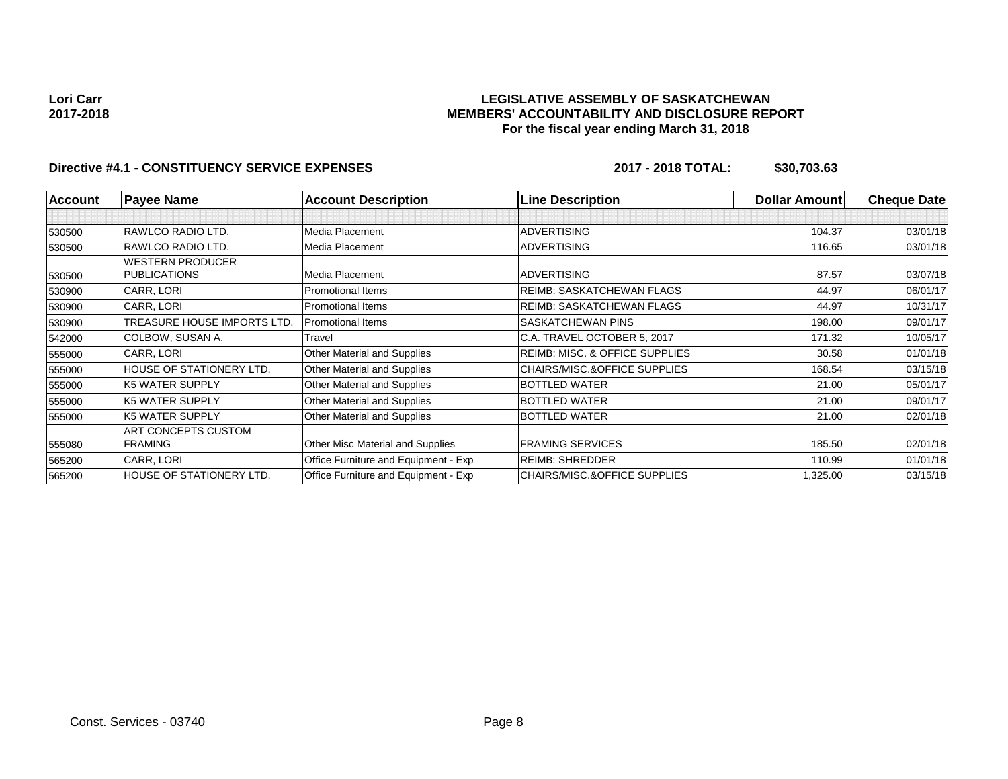## **LEGISLATIVE ASSEMBLY OF SASKATCHEWAN MEMBERS' ACCOUNTABILITY AND DISCLOSURE REPORT For the fiscal year ending March 31, 2018**

| <b>Account</b> | <b>Payee Name</b>           | <b>Account Description</b>           | <b>Line Description</b>                   | <b>Dollar Amount</b> | <b>Cheque Date</b> |
|----------------|-----------------------------|--------------------------------------|-------------------------------------------|----------------------|--------------------|
|                |                             |                                      |                                           |                      |                    |
| 530500         | RAWLCO RADIO LTD.           | Media Placement                      | <b>ADVERTISING</b>                        | 104.37               | 03/01/18           |
| 530500         | RAWLCO RADIO LTD.           | Media Placement                      | <b>ADVERTISING</b>                        | 116.65               | 03/01/18           |
|                | <b>WESTERN PRODUCER</b>     |                                      |                                           |                      |                    |
| 530500         | <b>PUBLICATIONS</b>         | Media Placement                      | <b>ADVERTISING</b>                        | 87.57                | 03/07/18           |
| 530900         | CARR, LORI                  | Promotional Items                    | REIMB: SASKATCHEWAN FLAGS                 | 44.97                | 06/01/17           |
| 530900         | CARR, LORI                  | <b>Promotional Items</b>             | <b>REIMB: SASKATCHEWAN FLAGS</b>          | 44.97                | 10/31/17           |
| 530900         | TREASURE HOUSE IMPORTS LTD. | <b>Promotional Items</b>             | SASKATCHEWAN PINS                         | 198.00               | 09/01/17           |
| 542000         | COLBOW, SUSAN A.            | Travel                               | C.A. TRAVEL OCTOBER 5, 2017               | 171.32               | 10/05/17           |
| 555000         | CARR, LORI                  | Other Material and Supplies          | <b>REIMB: MISC. &amp; OFFICE SUPPLIES</b> | 30.58                | 01/01/18           |
| 555000         | HOUSE OF STATIONERY LTD.    | Other Material and Supplies          | CHAIRS/MISC.&OFFICE SUPPLIES              | 168.54               | 03/15/18           |
| 555000         | <b>K5 WATER SUPPLY</b>      | Other Material and Supplies          | <b>BOTTLED WATER</b>                      | 21.00                | 05/01/17           |
| 555000         | <b>K5 WATER SUPPLY</b>      | Other Material and Supplies          | <b>BOTTLED WATER</b>                      | 21.00                | 09/01/17           |
| 555000         | <b>K5 WATER SUPPLY</b>      | Other Material and Supplies          | <b>BOTTLED WATER</b>                      | 21.00                | 02/01/18           |
|                | ART CONCEPTS CUSTOM         |                                      |                                           |                      |                    |
| 555080         | <b>FRAMING</b>              | Other Misc Material and Supplies     | <b>FRAMING SERVICES</b>                   | 185.50               | 02/01/18           |
| 565200         | CARR, LORI                  | Office Furniture and Equipment - Exp | <b>REIMB: SHREDDER</b>                    | 110.99               | 01/01/18           |
| 565200         | HOUSE OF STATIONERY LTD.    | Office Furniture and Equipment - Exp | <b>CHAIRS/MISC.&amp;OFFICE SUPPLIES</b>   | 1,325.00             | 03/15/18           |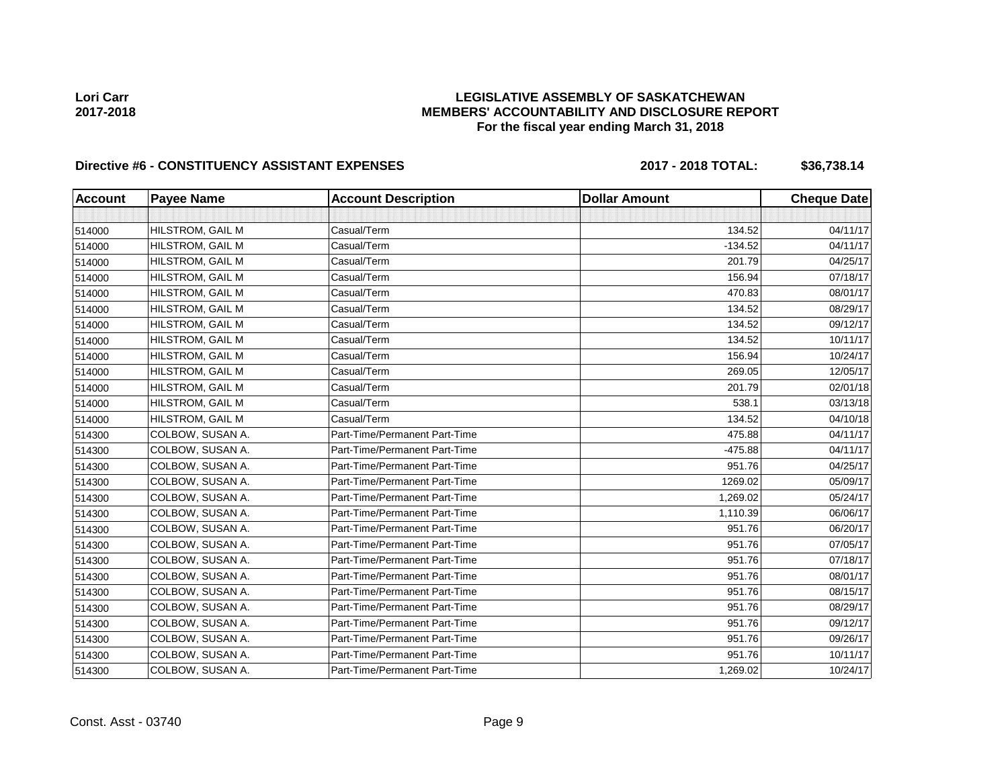## **LEGISLATIVE ASSEMBLY OF SASKATCHEWAN MEMBERS' ACCOUNTABILITY AND DISCLOSURE REPORT For the fiscal year ending March 31, 2018**

# Directive #6 - CONSTITUENCY ASSISTANT EXPENSES 2017 - 2018 TOTAL: \$36,738.14

| <b>Account</b> | <b>Payee Name</b> | <b>Account Description</b>    | <b>Dollar Amount</b> | <b>Cheque Date</b> |
|----------------|-------------------|-------------------------------|----------------------|--------------------|
|                |                   |                               |                      |                    |
| 514000         | HILSTROM, GAIL M  | Casual/Term                   | 134.52               | 04/11/17           |
| 514000         | HILSTROM, GAIL M  | Casual/Term                   | $-134.52$            | 04/11/17           |
| 514000         | HILSTROM, GAIL M  | Casual/Term                   | 201.79               | 04/25/17           |
| 514000         | HILSTROM, GAIL M  | Casual/Term                   | 156.94               | 07/18/17           |
| 514000         | HILSTROM, GAIL M  | Casual/Term                   | 470.83               | 08/01/17           |
| 514000         | HILSTROM, GAIL M  | Casual/Term                   | 134.52               | 08/29/17           |
| 514000         | HILSTROM, GAIL M  | Casual/Term                   | 134.52               | 09/12/17           |
| 514000         | HILSTROM, GAIL M  | Casual/Term                   | 134.52               | 10/11/17           |
| 514000         | HILSTROM, GAIL M  | Casual/Term                   | 156.94               | 10/24/17           |
| 514000         | HILSTROM, GAIL M  | Casual/Term                   | 269.05               | 12/05/17           |
| 514000         | HILSTROM, GAIL M  | Casual/Term                   | 201.79               | 02/01/18           |
| 514000         | HILSTROM, GAIL M  | Casual/Term                   | 538.1                | 03/13/18           |
| 514000         | HILSTROM, GAIL M  | Casual/Term                   | 134.52               | 04/10/18           |
| 514300         | COLBOW, SUSAN A.  | Part-Time/Permanent Part-Time | 475.88               | 04/11/17           |
| 514300         | COLBOW, SUSAN A.  | Part-Time/Permanent Part-Time | $-475.88$            | 04/11/17           |
| 514300         | COLBOW, SUSAN A.  | Part-Time/Permanent Part-Time | 951.76               | 04/25/17           |
| 514300         | COLBOW, SUSAN A.  | Part-Time/Permanent Part-Time | 1269.02              | 05/09/17           |
| 514300         | COLBOW, SUSAN A.  | Part-Time/Permanent Part-Time | 1,269.02             | 05/24/17           |
| 514300         | COLBOW, SUSAN A.  | Part-Time/Permanent Part-Time | 1,110.39             | 06/06/17           |
| 514300         | COLBOW, SUSAN A.  | Part-Time/Permanent Part-Time | 951.76               | 06/20/17           |
| 514300         | COLBOW, SUSAN A.  | Part-Time/Permanent Part-Time | 951.76               | 07/05/17           |
| 514300         | COLBOW, SUSAN A.  | Part-Time/Permanent Part-Time | 951.76               | 07/18/17           |
| 514300         | COLBOW, SUSAN A.  | Part-Time/Permanent Part-Time | 951.76               | 08/01/17           |
| 514300         | COLBOW, SUSAN A.  | Part-Time/Permanent Part-Time | 951.76               | 08/15/17           |
| 514300         | COLBOW, SUSAN A.  | Part-Time/Permanent Part-Time | 951.76               | 08/29/17           |
| 514300         | COLBOW, SUSAN A.  | Part-Time/Permanent Part-Time | 951.76               | 09/12/17           |
| 514300         | COLBOW, SUSAN A.  | Part-Time/Permanent Part-Time | 951.76               | 09/26/17           |
| 514300         | COLBOW, SUSAN A.  | Part-Time/Permanent Part-Time | 951.76               | 10/11/17           |
| 514300         | COLBOW, SUSAN A.  | Part-Time/Permanent Part-Time | 1,269.02             | 10/24/17           |